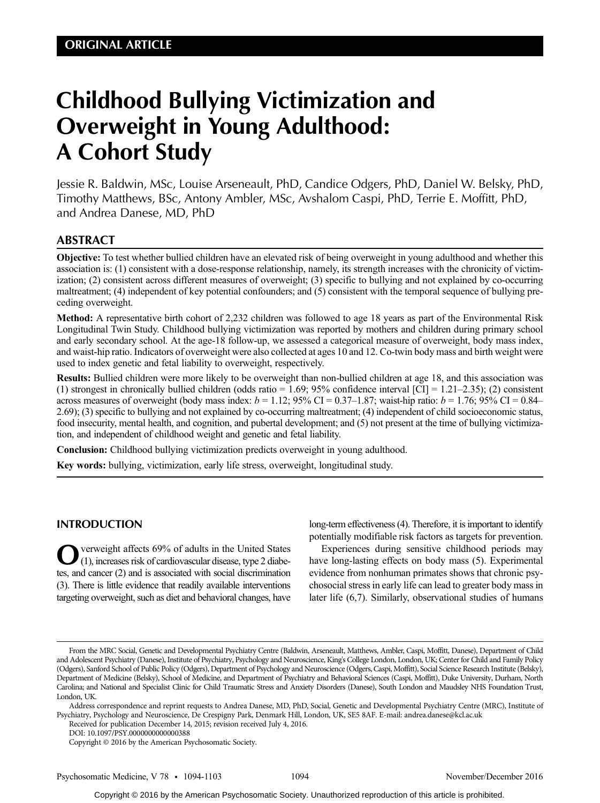# Childhood Bullying Victimization and Overweight in Young Adulthood: A Cohort Study

Jessie R. Baldwin, MSc, Louise Arseneault, PhD, Candice Odgers, PhD, Daniel W. Belsky, PhD, Timothy Matthews, BSc, Antony Ambler, MSc, Avshalom Caspi, PhD, Terrie E. Moffitt, PhD, and Andrea Danese, MD, PhD

# ABSTRACT

Objective: To test whether bullied children have an elevated risk of being overweight in young adulthood and whether this association is: (1) consistent with a dose-response relationship, namely, its strength increases with the chronicity of victimization; (2) consistent across different measures of overweight; (3) specific to bullying and not explained by co-occurring maltreatment; (4) independent of key potential confounders; and (5) consistent with the temporal sequence of bullying preceding overweight.

Method: A representative birth cohort of 2,232 children was followed to age 18 years as part of the Environmental Risk Longitudinal Twin Study. Childhood bullying victimization was reported by mothers and children during primary school and early secondary school. At the age-18 follow-up, we assessed a categorical measure of overweight, body mass index, and waist-hip ratio. Indicators of overweight were also collected at ages 10 and 12. Co-twin body mass and birth weight were used to index genetic and fetal liability to overweight, respectively.

Results: Bullied children were more likely to be overweight than non-bullied children at age 18, and this association was (1) strongest in chronically bullied children (odds ratio =  $1.69$ ; 95% confidence interval [CI] =  $1.21-2.35$ ); (2) consistent across measures of overweight (body mass index:  $b = 1.12$ ; 95% CI = 0.37–1.87; waist-hip ratio:  $b = 1.76$ ; 95% CI = 0.84– 2.69); (3) specific to bullying and not explained by co-occurring maltreatment; (4) independent of child socioeconomic status, food insecurity, mental health, and cognition, and pubertal development; and (5) not present at the time of bullying victimization, and independent of childhood weight and genetic and fetal liability.

Conclusion: Childhood bullying victimization predicts overweight in young adulthood.

Key words: bullying, victimization, early life stress, overweight, longitudinal study.

# INTRODUCTION

verweight affects 69% of adults in the United States (1), increases risk of cardiovascular disease, type 2 diabetes, and cancer (2) and is associated with social discrimination (3). There is little evidence that readily available interventions targeting overweight, such as diet and behavioral changes, have long-term effectiveness (4). Therefore, it is important to identify potentially modifiable risk factors as targets for prevention.

Experiences during sensitive childhood periods may have long-lasting effects on body mass (5). Experimental evidence from nonhuman primates shows that chronic psychosocial stress in early life can lead to greater body mass in later life (6,7). Similarly, observational studies of humans

Received for publication December 14, 2015; revision received July 4, 2016.

From the MRC Social, Genetic and Developmental Psychiatry Centre (Baldwin, Arseneault, Matthews, Ambler, Caspi, Moffitt, Danese), Department of Child and Adolescent Psychiatry (Danese), Institute of Psychiatry, Psychology and Neuroscience, King's College London, London, UK; Center for Child and Family Policy (Odgers), Sanford School of Public Policy (Odgers), Department of Psychology and Neuroscience (Odgers, Caspi, Moffitt), Social Science Research Institute (Belsky), Department of Medicine (Belsky), School of Medicine, and Department of Psychiatry and Behavioral Sciences (Caspi, Moffitt), Duke University, Durham, North Carolina; and National and Specialist Clinic for Child Traumatic Stress and Anxiety Disorders (Danese), South London and Maudsley NHS Foundation Trust, London, UK.

Address correspondence and reprint requests to Andrea Danese, MD, PhD, Social, Genetic and Developmental Psychiatry Centre (MRC), Institute of Psychiatry, Psychology and Neuroscience, De Crespigny Park, Denmark Hill, London, UK, SE5 8AF. E-mail: andrea.danese@kcl.ac.uk

DOI: 10.1097/PSY.0000000000000388

Copyright © 2016 by the American Psychosomatic Society.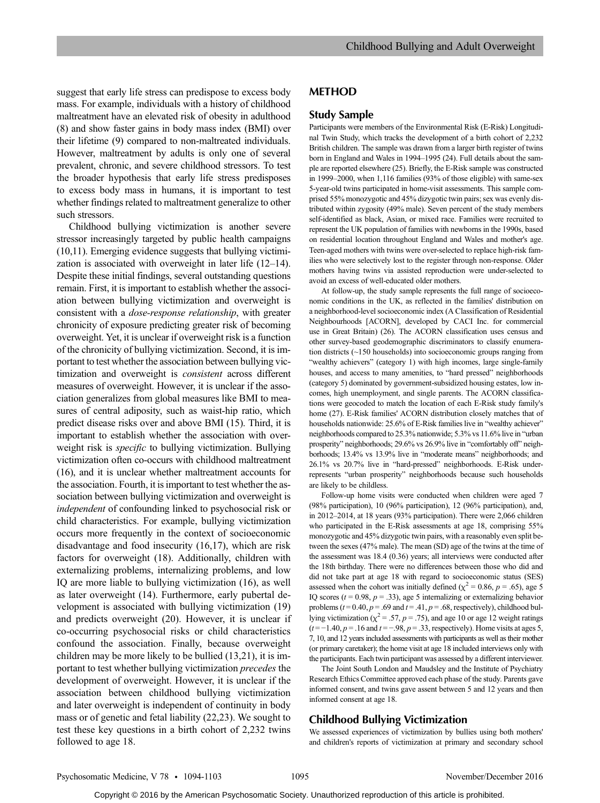suggest that early life stress can predispose to excess body mass. For example, individuals with a history of childhood maltreatment have an elevated risk of obesity in adulthood (8) and show faster gains in body mass index (BMI) over their lifetime (9) compared to non-maltreated individuals. However, maltreatment by adults is only one of several prevalent, chronic, and severe childhood stressors. To test the broader hypothesis that early life stress predisposes to excess body mass in humans, it is important to test whether findings related to maltreatment generalize to other such stressors.

Childhood bullying victimization is another severe stressor increasingly targeted by public health campaigns (10,11). Emerging evidence suggests that bullying victimization is associated with overweight in later life (12–14). Despite these initial findings, several outstanding questions remain. First, it is important to establish whether the association between bullying victimization and overweight is consistent with a dose-response relationship, with greater chronicity of exposure predicting greater risk of becoming overweight. Yet, it is unclear if overweight risk is a function of the chronicity of bullying victimization. Second, it is important to test whether the association between bullying victimization and overweight is consistent across different measures of overweight. However, it is unclear if the association generalizes from global measures like BMI to measures of central adiposity, such as waist-hip ratio, which predict disease risks over and above BMI (15). Third, it is important to establish whether the association with overweight risk is specific to bullying victimization. Bullying victimization often co-occurs with childhood maltreatment (16), and it is unclear whether maltreatment accounts for the association. Fourth, it is important to test whether the association between bullying victimization and overweight is independent of confounding linked to psychosocial risk or child characteristics. For example, bullying victimization occurs more frequently in the context of socioeconomic disadvantage and food insecurity (16,17), which are risk factors for overweight (18). Additionally, children with externalizing problems, internalizing problems, and low IQ are more liable to bullying victimization (16), as well as later overweight (14). Furthermore, early pubertal development is associated with bullying victimization (19) and predicts overweight (20). However, it is unclear if co-occurring psychosocial risks or child characteristics confound the association. Finally, because overweight children may be more likely to be bullied (13,21), it is important to test whether bullying victimization precedes the development of overweight. However, it is unclear if the association between childhood bullying victimization and later overweight is independent of continuity in body mass or of genetic and fetal liability (22,23). We sought to test these key questions in a birth cohort of 2,232 twins followed to age 18.

## METHOD

## Study Sample

Participants were members of the Environmental Risk (E-Risk) Longitudinal Twin Study, which tracks the development of a birth cohort of 2,232 British children. The sample was drawn from a larger birth register of twins born in England and Wales in 1994–1995 (24). Full details about the sample are reported elsewhere (25). Briefly, the E-Risk sample was constructed in 1999–2000, when 1,116 families (93% of those eligible) with same-sex 5-year-old twins participated in home-visit assessments. This sample comprised 55% monozygotic and 45% dizygotic twin pairs; sex was evenly distributed within zygosity (49% male). Seven percent of the study members self-identified as black, Asian, or mixed race. Families were recruited to represent the UK population of families with newborns in the 1990s, based on residential location throughout England and Wales and mother's age. Teen-aged mothers with twins were over-selected to replace high-risk families who were selectively lost to the register through non-response. Older mothers having twins via assisted reproduction were under-selected to avoid an excess of well-educated older mothers.

At follow-up, the study sample represents the full range of socioeconomic conditions in the UK, as reflected in the families' distribution on a neighborhood-level socioeconomic index (A Classification of Residential Neighbourhoods [ACORN], developed by CACI Inc. for commercial use in Great Britain) (26). The ACORN classification uses census and other survey-based geodemographic discriminators to classify enumeration districts (~150 households) into socioeconomic groups ranging from "wealthy achievers" (category 1) with high incomes, large single-family houses, and access to many amenities, to "hard pressed" neighborhoods (category 5) dominated by government-subsidized housing estates, low incomes, high unemployment, and single parents. The ACORN classifications were geocoded to match the location of each E-Risk study family's home (27). E-Risk families' ACORN distribution closely matches that of households nationwide: 25.6% of E-Risk families live in "wealthy achiever" neighborhoods compared to 25.3% nationwide; 5.3% vs 11.6% live in "urban prosperity" neighborhoods; 29.6% vs 26.9% live in "comfortably off" neighborhoods; 13.4% vs 13.9% live in "moderate means" neighborhoods; and 26.1% vs 20.7% live in "hard-pressed" neighborhoods. E-Risk underrepresents "urban prosperity" neighborhoods because such households are likely to be childless.

Follow-up home visits were conducted when children were aged 7 (98% participation), 10 (96% participation), 12 (96% participation), and, in 2012–2014, at 18 years (93% participation). There were 2,066 children who participated in the E-Risk assessments at age 18, comprising 55% monozygotic and 45% dizygotic twin pairs, with a reasonably even split between the sexes (47% male). The mean (SD) age of the twins at the time of the assessment was 18.4 (0.36) years; all interviews were conducted after the 18th birthday. There were no differences between those who did and did not take part at age 18 with regard to socioeconomic status (SES) assessed when the cohort was initially defined ( $\chi^2$  = 0.86, p = .65), age 5 IQ scores ( $t = 0.98$ ,  $p = .33$ ), age 5 internalizing or externalizing behavior problems ( $t = 0.40$ ,  $p = .69$  and  $t = .41$ ,  $p = .68$ , respectively), childhood bullying victimization ( $\chi^2$  = .57, p = .75), and age 10 or age 12 weight ratings  $(t = -1.40, p = .16$  and  $t = -.98, p = .33$ , respectively). Home visits at ages 5, 7, 10, and 12 years included assessments with participants as well as their mother (or primary caretaker); the home visit at age 18 included interviews only with the participants. Each twin participant was assessed by a different interviewer.

The Joint South London and Maudsley and the Institute of Psychiatry Research Ethics Committee approved each phase of the study. Parents gave informed consent, and twins gave assent between 5 and 12 years and then informed consent at age 18.

## Childhood Bullying Victimization

We assessed experiences of victimization by bullies using both mothers' and children's reports of victimization at primary and secondary school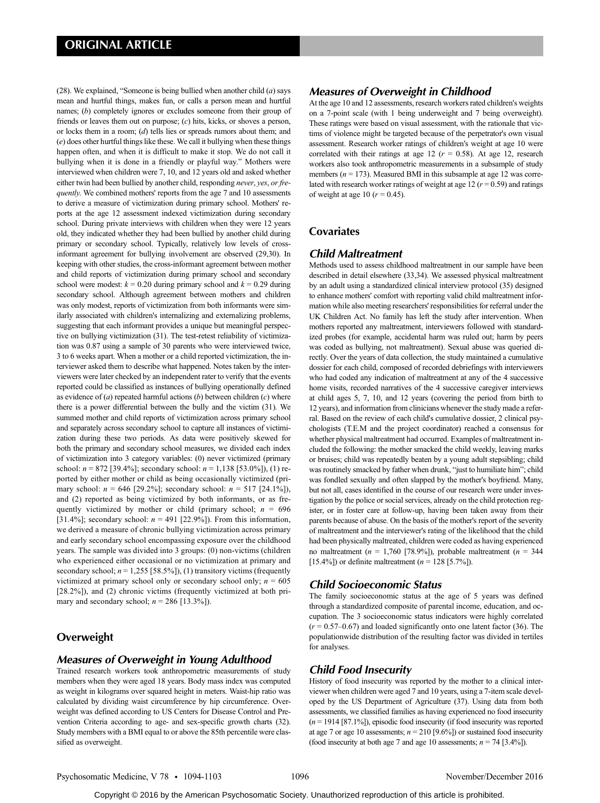(28). We explained, "Someone is being bullied when another child  $(a)$  says mean and hurtful things, makes fun, or calls a person mean and hurtful names; (b) completely ignores or excludes someone from their group of friends or leaves them out on purpose; (c) hits, kicks, or shoves a person, or locks them in a room; (d) tells lies or spreads rumors about them; and (e) does other hurtful things like these. We call it bullying when these things happen often, and when it is difficult to make it stop. We do not call it bullying when it is done in a friendly or playful way." Mothers were interviewed when children were 7, 10, and 12 years old and asked whether either twin had been bullied by another child, responding never, yes, or frequently. We combined mothers' reports from the age 7 and 10 assessments to derive a measure of victimization during primary school. Mothers' reports at the age 12 assessment indexed victimization during secondary school. During private interviews with children when they were 12 years old, they indicated whether they had been bullied by another child during primary or secondary school. Typically, relatively low levels of crossinformant agreement for bullying involvement are observed (29,30). In keeping with other studies, the cross-informant agreement between mother and child reports of victimization during primary school and secondary school were modest:  $k = 0.20$  during primary school and  $k = 0.29$  during secondary school. Although agreement between mothers and children was only modest, reports of victimization from both informants were similarly associated with children's internalizing and externalizing problems, suggesting that each informant provides a unique but meaningful perspective on bullying victimization (31). The test-retest reliability of victimization was 0.87 using a sample of 30 parents who were interviewed twice, 3 to 6 weeks apart. When a mother or a child reported victimization, the interviewer asked them to describe what happened. Notes taken by the interviewers were later checked by an independent rater to verify that the events reported could be classified as instances of bullying operationally defined as evidence of  $(a)$  repeated harmful actions  $(b)$  between children  $(c)$  where there is a power differential between the bully and the victim (31). We summed mother and child reports of victimization across primary school and separately across secondary school to capture all instances of victimization during these two periods. As data were positively skewed for both the primary and secondary school measures, we divided each index of victimization into 3 category variables: (0) never victimized (primary school:  $n = 872$  [39.4%]; secondary school:  $n = 1,138$  [53.0%]), (1) reported by either mother or child as being occasionally victimized (primary school:  $n = 646$  [29.2%]; secondary school:  $n = 517$  [24.1%]), and (2) reported as being victimized by both informants, or as frequently victimized by mother or child (primary school;  $n = 696$ [31.4%]; secondary school:  $n = 491$  [22.9%]). From this information, we derived a measure of chronic bullying victimization across primary and early secondary school encompassing exposure over the childhood years. The sample was divided into 3 groups: (0) non-victims (children who experienced either occasional or no victimization at primary and secondary school;  $n = 1,255$  [58.5%]), (1) transitory victims (frequently victimized at primary school only or secondary school only;  $n = 605$ [28.2%]), and (2) chronic victims (frequently victimized at both primary and secondary school;  $n = 286$  [13.3%]).

# **Overweight**

#### Measures of Overweight in Young Adulthood

Trained research workers took anthropometric measurements of study members when they were aged 18 years. Body mass index was computed as weight in kilograms over squared height in meters. Waist-hip ratio was calculated by dividing waist circumference by hip circumference. Overweight was defined according to US Centers for Disease Control and Prevention Criteria according to age- and sex-specific growth charts (32). Study members with a BMI equal to or above the 85th percentile were classified as overweight.

# Measures of Overweight in Childhood

At the age 10 and 12 assessments, research workers rated children's weights on a 7-point scale (with 1 being underweight and 7 being overweight). These ratings were based on visual assessment, with the rationale that victims of violence might be targeted because of the perpetrator's own visual assessment. Research worker ratings of children's weight at age 10 were correlated with their ratings at age 12 ( $r = 0.58$ ). At age 12, research workers also took anthropometric measurements in a subsample of study members ( $n = 173$ ). Measured BMI in this subsample at age 12 was correlated with research worker ratings of weight at age 12 ( $r = 0.59$ ) and ratings of weight at age 10 ( $r = 0.45$ ).

# **Covariates**

## Child Maltreatment

Methods used to assess childhood maltreatment in our sample have been described in detail elsewhere (33,34). We assessed physical maltreatment by an adult using a standardized clinical interview protocol (35) designed to enhance mothers' comfort with reporting valid child maltreatment information while also meeting researchers' responsibilities for referral under the UK Children Act. No family has left the study after intervention. When mothers reported any maltreatment, interviewers followed with standardized probes (for example, accidental harm was ruled out; harm by peers was coded as bullying, not maltreatment). Sexual abuse was queried directly. Over the years of data collection, the study maintained a cumulative dossier for each child, composed of recorded debriefings with interviewers who had coded any indication of maltreatment at any of the 4 successive home visits, recorded narratives of the 4 successive caregiver interviews at child ages 5, 7, 10, and 12 years (covering the period from birth to 12 years), and information from clinicians whenever the study made a referral. Based on the review of each child's cumulative dossier, 2 clinical psychologists (T.E.M and the project coordinator) reached a consensus for whether physical maltreatment had occurred. Examples of maltreatment included the following: the mother smacked the child weekly, leaving marks or bruises; child was repeatedly beaten by a young adult stepsibling; child was routinely smacked by father when drunk, "just to humiliate him"; child was fondled sexually and often slapped by the mother's boyfriend. Many, but not all, cases identified in the course of our research were under investigation by the police or social services, already on the child protection register, or in foster care at follow-up, having been taken away from their parents because of abuse. On the basis of the mother's report of the severity of maltreatment and the interviewer's rating of the likelihood that the child had been physically maltreated, children were coded as having experienced no maltreatment ( $n = 1,760$  [78.9%]), probable maltreatment ( $n = 344$ ) [15.4%]) or definite maltreatment  $(n = 128 [5.7\%])$ .

# Child Socioeconomic Status

The family socioeconomic status at the age of 5 years was defined through a standardized composite of parental income, education, and occupation. The 3 socioeconomic status indicators were highly correlated  $(r = 0.57{\text -}0.67)$  and loaded significantly onto one latent factor (36). The populationwide distribution of the resulting factor was divided in tertiles for analyses.

#### Child Food Insecurity

History of food insecurity was reported by the mother to a clinical interviewer when children were aged 7 and 10 years, using a 7-item scale developed by the US Department of Agriculture (37). Using data from both assessments, we classified families as having experienced no food insecurity  $(n = 1914 [87.1\%])$ , episodic food insecurity (if food insecurity was reported at age 7 or age 10 assessments;  $n = 210$  [9.6%]) or sustained food insecurity (food insecurity at both age 7 and age 10 assessments;  $n = 74$  [3.4%]).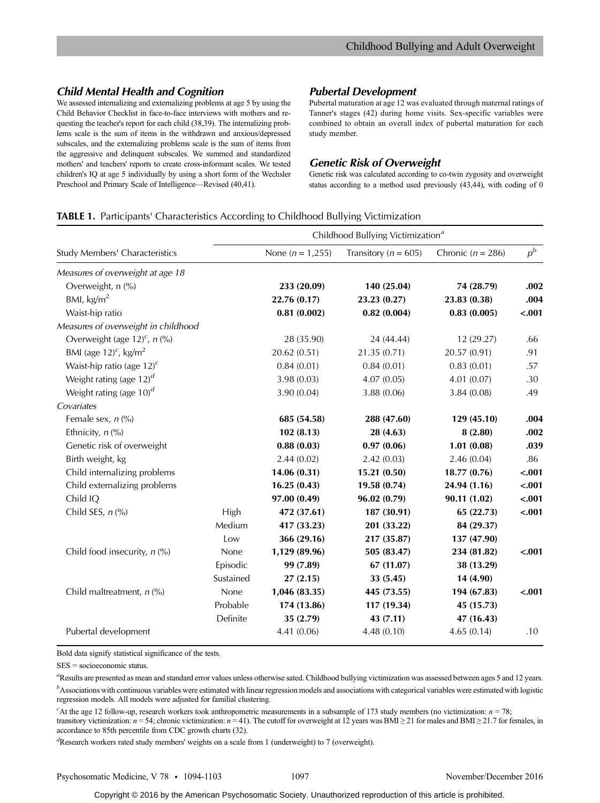# Child Mental Health and Cognition

We assessed internalizing and externalizing problems at age 5 by using the Child Behavior Checklist in face-to-face interviews with mothers and requesting the teacher's report for each child (38,39). The internalizing problems scale is the sum of items in the withdrawn and anxious/depressed subscales, and the externalizing problems scale is the sum of items from the aggressive and delinquent subscales. We summed and standardized mothers' and teachers' reports to create cross-informant scales. We tested children's IQ at age 5 individually by using a short form of the Wechsler Preschool and Primary Scale of Intelligence—Revised (40,41).

## Pubertal Development

Pubertal maturation at age 12 was evaluated through maternal ratings of Tanner's stages (42) during home visits. Sex-specific variables were combined to obtain an overall index of pubertal maturation for each study member.

## Genetic Risk of Overweight

Genetic risk was calculated according to co-twin zygosity and overweight status according to a method used previously (43,44), with coding of 0

#### TABLE 1. Participants' Characteristics According to Childhood Bullying Victimization

|                                            |           | Childhood Bullying Victimization <sup>a</sup> |                          |                       |         |  |  |
|--------------------------------------------|-----------|-----------------------------------------------|--------------------------|-----------------------|---------|--|--|
| Study Members' Characteristics             |           | None ( $n = 1,255$ )                          | Transitory ( $n = 605$ ) | Chronic ( $n = 286$ ) | $p^b$   |  |  |
| Measures of overweight at age 18           |           |                                               |                          |                       |         |  |  |
| Overweight, n (%)                          |           | 233 (20.09)                                   | 140 (25.04)              | 74 (28.79)            | .002    |  |  |
| BMI, $\text{kg/m}^2$                       |           | 22.76 (0.17)                                  | 23.23 (0.27)             | 23.83 (0.38)          | .004    |  |  |
| Waist-hip ratio                            |           | 0.81(0.002)                                   | 0.82(0.004)              | 0.83(0.005)           | $-.001$ |  |  |
| Measures of overweight in childhood        |           |                                               |                          |                       |         |  |  |
| Overweight (age 12) <sup>c</sup> , $n$ (%) |           | 28 (35.90)                                    | 24 (44.44)               | 12 (29.27)            | .66     |  |  |
| BMI (age $12)^c$ , kg/m <sup>2</sup>       |           | 20.62 (0.51)                                  | 21.35 (0.71)             | 20.57 (0.91)          | .91     |  |  |
| Waist-hip ratio (age $12)^c$               |           | 0.84(0.01)                                    | 0.84(0.01)               | 0.83(0.01)            | .57     |  |  |
| Weight rating (age $12$ ) <sup>d</sup>     |           | 3.98(0.03)                                    | 4.07(0.05)               | 4.01(0.07)            | .30     |  |  |
| Weight rating (age $10$ ) <sup>d</sup>     |           | 3.90 (0.04)                                   | 3.88 (0.06)              | 3.84 (0.08)           | .49     |  |  |
| Covariates                                 |           |                                               |                          |                       |         |  |  |
| Female sex, $n$ (%)                        |           | 685 (54.58)                                   | 288 (47.60)              | 129 (45.10)           | .004    |  |  |
| Ethnicity, $n$ (%)                         |           | 102(8.13)                                     | 28 (4.63)                | 8(2.80)               | .002    |  |  |
| Genetic risk of overweight                 |           | 0.88(0.03)                                    | 0.97(0.06)               | 1.01(0.08)            | .039    |  |  |
| Birth weight, kg                           |           | 2.44(0.02)                                    | 2.42(0.03)               | 2.46(0.04)            | .86     |  |  |
| Child internalizing problems               |           | 14.06(0.31)                                   | 15.21(0.50)              | 18.77(0.76)           | $-.001$ |  |  |
| Child externalizing problems               |           | 16.25(0.43)                                   | 19.58 (0.74)             | 24.94 (1.16)          | $-.001$ |  |  |
| Child IQ                                   |           | 97.00 (0.49)                                  | 96.02(0.79)              | 90.11(1.02)           | $-.001$ |  |  |
| Child SES, $n$ (%)                         | High      | 472 (37.61)                                   | 187 (30.91)              | 65 (22.73)            | $-.001$ |  |  |
|                                            | Medium    | 417 (33.23)                                   | 201 (33.22)              | 84 (29.37)            |         |  |  |
|                                            | Low       | 366 (29.16)                                   | 217 (35.87)              | 137 (47.90)           |         |  |  |
| Child food insecurity, $n$ (%)             | None      | 1,129 (89.96)                                 | 505 (83.47)              | 234 (81.82)           | $-.001$ |  |  |
|                                            | Episodic  | 99 (7.89)                                     | 67(11.07)                | 38 (13.29)            |         |  |  |
|                                            | Sustained | 27(2.15)                                      | 33(5.45)                 | 14 (4.90)             |         |  |  |
| Child maltreatment, $n$ (%)                | None      | 1,046 (83.35)                                 | 445 (73.55)              | 194 (67.83)           | $-.001$ |  |  |
|                                            | Probable  | 174 (13.86)                                   | 117 (19.34)              | 45 (15.73)            |         |  |  |
|                                            | Definite  | 35(2.79)                                      | 43(7.11)                 | 47 (16.43)            |         |  |  |
| Pubertal development                       |           | 4.41 (0.06)                                   | 4.48(0.10)               | 4.65(0.14)            | .10     |  |  |

Bold data signify statistical significance of the tests.

SES = socioeconomic status.

a Results are presented as mean and standard error values unless otherwise sated. Childhood bullying victimization was assessed between ages 5 and 12 years. <sup>b</sup>Associations with continuous variables were estimated with linear regression models and associations with categorical variables were estimated with logistic regression models. All models were adjusted for familial clustering.

<sup>c</sup>At the age 12 follow-up, research workers took anthropometric measurements in a subsample of 173 study members (no victimization:  $n = 78$ ; transitory victimization:  $n = 54$ ; chronic victimization:  $n = 41$ ). The cutoff for overweight at 12 years was BMI ≥ 21 for males and BMI ≥ 21.7 for females, in accordance to 85th percentile from CDC growth charts (32).

<sup>d</sup>Research workers rated study members' weights on a scale from 1 (underweight) to 7 (overweight).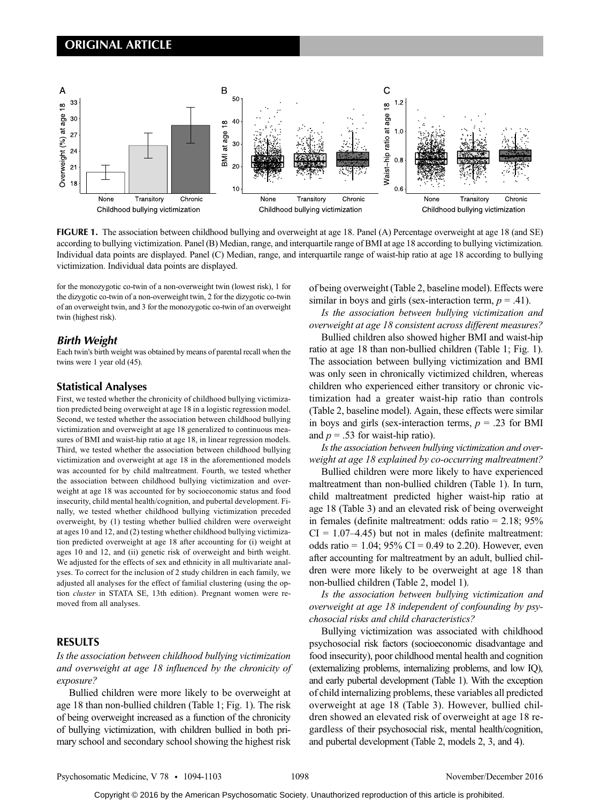

FIGURE 1. The association between childhood bullying and overweight at age 18. Panel (A) Percentage overweight at age 18 (and SE) according to bullying victimization. Panel (B) Median, range, and interquartile range of BMI at age 18 according to bullying victimization. Individual data points are displayed. Panel (C) Median, range, and interquartile range of waist-hip ratio at age 18 according to bullying victimization. Individual data points are displayed.

for the monozygotic co-twin of a non-overweight twin (lowest risk), 1 for the dizygotic co-twin of a non-overweight twin, 2 for the dizygotic co-twin of an overweight twin, and 3 for the monozygotic co-twin of an overweight twin (highest risk).

# Birth Weight

Each twin's birth weight was obtained by means of parental recall when the twins were 1 year old (45).

#### Statistical Analyses

First, we tested whether the chronicity of childhood bullying victimization predicted being overweight at age 18 in a logistic regression model. Second, we tested whether the association between childhood bullying victimization and overweight at age 18 generalized to continuous measures of BMI and waist-hip ratio at age 18, in linear regression models. Third, we tested whether the association between childhood bullying victimization and overweight at age 18 in the aforementioned models was accounted for by child maltreatment. Fourth, we tested whether the association between childhood bullying victimization and overweight at age 18 was accounted for by socioeconomic status and food insecurity, child mental health/cognition, and pubertal development. Finally, we tested whether childhood bullying victimization preceded overweight, by (1) testing whether bullied children were overweight at ages 10 and 12, and (2) testing whether childhood bullying victimization predicted overweight at age 18 after accounting for (i) weight at ages 10 and 12, and (ii) genetic risk of overweight and birth weight. We adjusted for the effects of sex and ethnicity in all multivariate analyses. To correct for the inclusion of 2 study children in each family, we adjusted all analyses for the effect of familial clustering (using the option cluster in STATA SE, 13th edition). Pregnant women were removed from all analyses.

# RESULTS

Is the association between childhood bullying victimization and overweight at age 18 influenced by the chronicity of exposure?

Bullied children were more likely to be overweight at age 18 than non-bullied children (Table 1; Fig. 1). The risk of being overweight increased as a function of the chronicity of bullying victimization, with children bullied in both primary school and secondary school showing the highest risk

of being overweight (Table 2, baseline model). Effects were similar in boys and girls (sex-interaction term,  $p = .41$ ).

Is the association between bullying victimization and overweight at age 18 consistent across different measures?

Bullied children also showed higher BMI and waist-hip ratio at age 18 than non-bullied children (Table 1; Fig. 1). The association between bullying victimization and BMI was only seen in chronically victimized children, whereas children who experienced either transitory or chronic victimization had a greater waist-hip ratio than controls (Table 2, baseline model). Again, these effects were similar in boys and girls (sex-interaction terms,  $p = .23$  for BMI and  $p = .53$  for waist-hip ratio).

Is the association between bullying victimization and overweight at age 18 explained by co-occurring maltreatment?

Bullied children were more likely to have experienced maltreatment than non-bullied children (Table 1). In turn, child maltreatment predicted higher waist-hip ratio at age 18 (Table 3) and an elevated risk of being overweight in females (definite maltreatment: odds ratio = 2.18; 95%  $CI = 1.07–4.45$ ) but not in males (definite maltreatment: odds ratio =  $1.04$ ; 95% CI = 0.49 to 2.20). However, even after accounting for maltreatment by an adult, bullied children were more likely to be overweight at age 18 than non-bullied children (Table 2, model 1).

Is the association between bullying victimization and overweight at age 18 independent of confounding by psychosocial risks and child characteristics?

Bullying victimization was associated with childhood psychosocial risk factors (socioeconomic disadvantage and food insecurity), poor childhood mental health and cognition (externalizing problems, internalizing problems, and low IQ), and early pubertal development (Table 1). With the exception of child internalizing problems, these variables all predicted overweight at age 18 (Table 3). However, bullied children showed an elevated risk of overweight at age 18 regardless of their psychosocial risk, mental health/cognition, and pubertal development (Table 2, models 2, 3, and 4).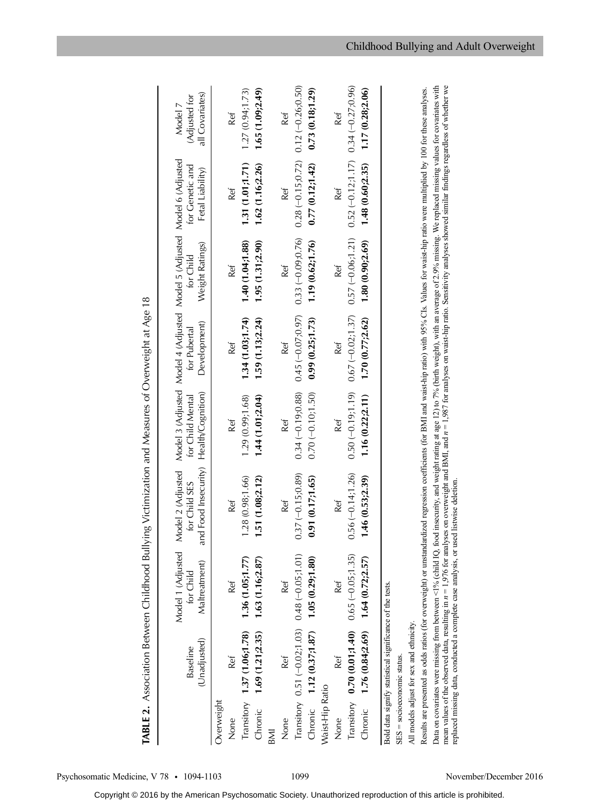|                 |                                                          |                                                                                      | TABLE 2. Association Between Childhood Bullying Victimization and Measures of Overweight at Age 18                                                                                                                                                                                                                                                                                                                                       |                      |                      |                                                                                      |                      |                         |
|-----------------|----------------------------------------------------------|--------------------------------------------------------------------------------------|------------------------------------------------------------------------------------------------------------------------------------------------------------------------------------------------------------------------------------------------------------------------------------------------------------------------------------------------------------------------------------------------------------------------------------------|----------------------|----------------------|--------------------------------------------------------------------------------------|----------------------|-------------------------|
|                 | Baseline                                                 | Model 1 (Adjusted<br>for Child                                                       | Model 2 (Adjusted<br>for Child SES                                                                                                                                                                                                                                                                                                                                                                                                       | for Child Mental     | for Pubertal         | Model 3 (Adjusted Model 4 (Adjusted Model 5 (Adjusted Model 6 (Adjusted<br>for Child | for Genetic and      | Adjusted for<br>Model 7 |
|                 | (Unadjusted)                                             | Maltreatment)                                                                        | nd Food Insecurity)<br>ß                                                                                                                                                                                                                                                                                                                                                                                                                 | Health/Cognition)    | Development)         | Weight Ratings)                                                                      | Fetal Liability)     | all Covariates)         |
| Overweight      |                                                          |                                                                                      |                                                                                                                                                                                                                                                                                                                                                                                                                                          |                      |                      |                                                                                      |                      |                         |
| None            | Ref                                                      | Ref                                                                                  | Ref                                                                                                                                                                                                                                                                                                                                                                                                                                      | Ref                  | Ref                  | Ref                                                                                  | Ref                  | Ref                     |
|                 | Transitory 1.37 (1.06;1.78)                              | 1.36(1.05;1.77)                                                                      | 1.28(0.98; 1.66)                                                                                                                                                                                                                                                                                                                                                                                                                         | .29(0.99; 1.68)      | 1.34(1.03, 1.74)     | 1.40 (1.04;1.88)                                                                     | 1.31 (1.01;1.71)     | 1.27(0.94, 1.73)        |
| Chronic         | 1.69 (1.21;2.35)                                         | 1.63 (1.16;2.87)                                                                     | 1.51 (1.08;2.12)                                                                                                                                                                                                                                                                                                                                                                                                                         | 1.44(1.01,2.04)      | 1.59(1.13; 2.24)     | 1.95(1.31, 2.90)                                                                     | 1.62 (1.16;2.26)     | 1.65(1.09;2.49)         |
| BMI             |                                                          |                                                                                      |                                                                                                                                                                                                                                                                                                                                                                                                                                          |                      |                      |                                                                                      |                      |                         |
| None            | Ref                                                      | Ref                                                                                  | Ref                                                                                                                                                                                                                                                                                                                                                                                                                                      | Ref                  | Ref                  | Ref                                                                                  | Ref                  | Ref                     |
|                 | Transitory 0.51 (-0.02;1.03) 0.48 (-0.05;1.01)           |                                                                                      | $0.37(-0.15, 0.89)$                                                                                                                                                                                                                                                                                                                                                                                                                      | $0.34 (-0.19)0.88$   | $0.45 (-0.07, 0.97)$ | $0.33(-0.09)0.76$                                                                    | $0.28 (-0.15, 0.72)$ | $0.12(-0.26;0.50)$      |
|                 | Chronic 1.12 (0.37;1.87) 1.05 (0.29;1.80)                |                                                                                      | 0.91(0.17;1.65)                                                                                                                                                                                                                                                                                                                                                                                                                          | $0.70(-0.10; 1.50)$  | 0.99(0.25; 1.73)     | 1.19 (0.62;1.76)                                                                     | 0.77(0.12)1.42)      | 0.73(0.18)1.29          |
| Waist-Hip Ratio |                                                          |                                                                                      |                                                                                                                                                                                                                                                                                                                                                                                                                                          |                      |                      |                                                                                      |                      |                         |
| None            | Ref                                                      | Ref                                                                                  | Ref                                                                                                                                                                                                                                                                                                                                                                                                                                      | Ref                  | Ref                  | Ref                                                                                  | Ref                  | Ref                     |
|                 | Transitory $0.70$ (0.01;1.40) $0.65$ (-0.05;1.35)        |                                                                                      | $0.56(-0.14, 1.26)$                                                                                                                                                                                                                                                                                                                                                                                                                      | $0.50 (-0.19, 1.19)$ | $0.67 (-0.02, 1.37)$ | $0.57 (-0.06; 1.21)$                                                                 | $0.52(-0.12;1.17)$   | $0.34 (-0.27, 0.96)$    |
| Chronic         | 1.76(0.84;2.69)                                          | 1.64(0.72;2.57)                                                                      | 1.46(0.53;2.39)                                                                                                                                                                                                                                                                                                                                                                                                                          | 1.16 (0.22;2.11)     | 1.70(0.77;2.62)      | 1.80(0.90;2.69)                                                                      | 1.48(0.60;2.35)      | 1.17 (0.28;2.06)        |
|                 | Bold data signify statistical significance of the tests. |                                                                                      |                                                                                                                                                                                                                                                                                                                                                                                                                                          |                      |                      |                                                                                      |                      |                         |
|                 | $SES = $ socioeconomic status.                           |                                                                                      |                                                                                                                                                                                                                                                                                                                                                                                                                                          |                      |                      |                                                                                      |                      |                         |
|                 | All models adjust for sex and ethnicity.                 |                                                                                      |                                                                                                                                                                                                                                                                                                                                                                                                                                          |                      |                      |                                                                                      |                      |                         |
|                 |                                                          |                                                                                      | Results are presented as odds ratios (for overweight) or unstandardized regression coefficients (for BMI and waist-hip ratio) with 95% Cls. Values for waist-hip ratio were multiplied by 100 for these analyses.                                                                                                                                                                                                                        |                      |                      |                                                                                      |                      |                         |
|                 |                                                          | replaced missing data, conducted a complete case analysis, or used listwise deletion | mean values of the observed data, resulting in $n = 1,976$ for analyses on overweight and BMI, and $n = 1,987$ for analyses on waist-hip ratio. Sensitivity analyses showed similar findings regardless of whether we<br>Data on covariates were missing from between <1% (child IQ, food insecurity, and weight rating at age 12) to 7% (birth weight), with an average of 2.9% missing. We replaced missing values for covariates with |                      |                      |                                                                                      |                      |                         |

Psychosomatic Medicine, V 78 · 1094-1103 1099 November/December 2016

Copyright © 2016 by the American Psychosomatic Society. Unauthorized reproduction of this article is prohibited.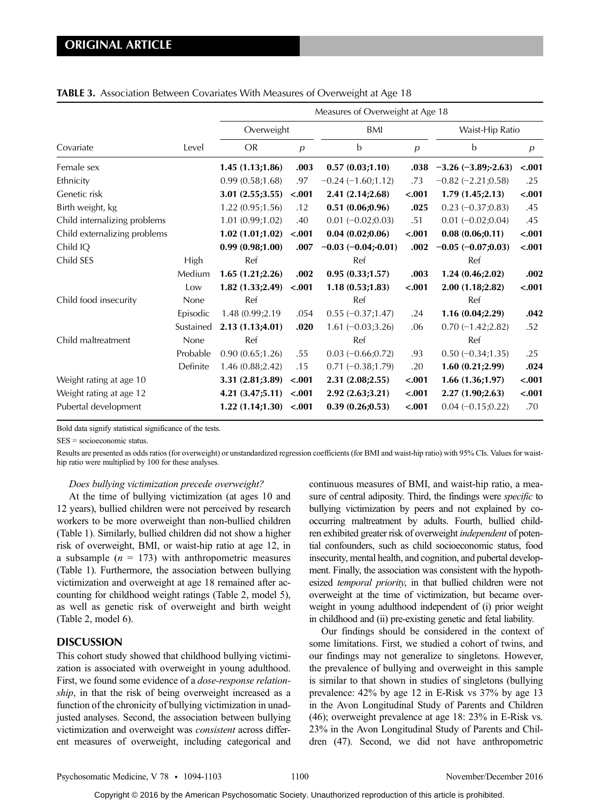|                              |           | Measures of Overweight at Age 18 |                |                       |                |                          |                  |
|------------------------------|-----------|----------------------------------|----------------|-----------------------|----------------|--------------------------|------------------|
|                              | Level     | Overweight                       |                | BMI                   |                | Waist-Hip Ratio          |                  |
| Covariate                    |           | <b>OR</b>                        | $\overline{p}$ | b                     | $\overline{p}$ | b                        | $\boldsymbol{p}$ |
| Female sex                   |           | 1.45(1.13;1.86)                  | .003           | 0.57(0.03;1.10)       | .038           | $-3.26 (-3.89; -2.63)$   | $-.001$          |
| Ethnicity                    |           | 0.99(0.58;1.68)                  | .97            | $-0.24 (-1.60;1.12)$  | .73            | $-0.82$ ( $-2.21$ ;0.58) | .25              |
| Genetic risk                 |           | 3.01(2.55;3.55)                  | $-.001$        | 2.41 (2.14;2.68)      | $-.001$        | 1.79(1.45;2.13)          | $-.001$          |
| Birth weight, kg             |           | 1.22 (0.95;1.56)                 | .12            | 0.51(0.06;0.96)       | .025           | $0.23 (-0.37; 0.83)$     | .45              |
| Child internalizing problems |           | 1.01(0.99;1.02)                  | .40            | $0.01 (-0.02; 0.03)$  | .51            | $0.01 (-0.02; 0.04)$     | .45              |
| Child externalizing problems |           | 1.02(1.01;1.02)                  | $-.001$        | 0.04(0.02;0.06)       | $-.001$        | 0.08(0.06;0.11)          | $-.001$          |
| Child IQ                     |           | 0.99(0.98;1.00)                  | .007           | $-0.03(-0.04; -0.01)$ | .002           | $-0.05 (-0.07; 0.03)$    | $-.001$          |
| Child SES                    | High      | Ref                              |                | Ref                   |                | Ref                      |                  |
|                              | Medium    | 1.65(1.21;2.26)                  | .002           | 0.95(0.33;1.57)       | .003           | 1.24(0.46;2.02)          | .002             |
|                              | Low       | 1.82(1.33;2.49)                  | $-.001$        | 1.18(0.53;1.83)       | $-.001$        | 2.00(1.18;2.82)          | $-.001$          |
| Child food insecurity        | None      | Ref                              |                | Ref                   |                | Ref                      |                  |
|                              | Episodic  | 1.48 (0.99;2.19)                 | .054           | $0.55 (-0.37;1.47)$   | .24            | 1.16(0.04;2.29)          | .042             |
|                              | Sustained | 2.13(1.13;4.01)                  | .020           | $1.61 (-0.03; 3.26)$  | .06            | $0.70 (-1.42; 2.82)$     | .52              |
| Child maltreatment           | None      | Ref                              |                | Ref                   |                | Ref                      |                  |
|                              | Probable  | 0.90(0.65;1.26)                  | .55            | $0.03 (-0.66; 0.72)$  | .93            | $0.50 (-0.34; 1.35)$     | .25              |
|                              | Definite  | 1.46 (0.88;2.42)                 | .15            | $0.71 (-0.38;1.79)$   | .20            | 1.60(0.21;2.99)          | .024             |
| Weight rating at age 10      |           | 3.31(2.81;3.89)                  | $-.001$        | 2.31 (2.08;2.55)      | $-.001$        | 1.66(1.36;1.97)          | $-.001$          |
| Weight rating at age 12      |           | 4.21(3.47;5.11)                  | $-.001$        | 2.92 (2.63;3.21)      | $-.001$        | 2.27(1.90;2.63)          | $-.001$          |
| Pubertal development         |           | 1.22(1.14;1.30)                  | $-.001$        | 0.39(0.26;0.53)       | $-.001$        | $0.04 (-0.15; 0.22)$     | .70              |

## TABLE 3. Association Between Covariates With Measures of Overweight at Age 18

Bold data signify statistical significance of the tests.

SES = socioeconomic status.

Results are presented as odds ratios (for overweight) or unstandardized regression coefficients (for BMI and waist-hip ratio) with 95% CIs. Values for waisthip ratio were multiplied by 100 for these analyses.

#### Does bullying victimization precede overweight?

At the time of bullying victimization (at ages 10 and 12 years), bullied children were not perceived by research workers to be more overweight than non-bullied children (Table 1). Similarly, bullied children did not show a higher risk of overweight, BMI, or waist-hip ratio at age 12, in a subsample  $(n = 173)$  with anthropometric measures (Table 1). Furthermore, the association between bullying victimization and overweight at age 18 remained after accounting for childhood weight ratings (Table 2, model 5), as well as genetic risk of overweight and birth weight (Table 2, model 6).

# **DISCUSSION**

This cohort study showed that childhood bullying victimization is associated with overweight in young adulthood. First, we found some evidence of a dose-response relationship, in that the risk of being overweight increased as a function of the chronicity of bullying victimization in unadjusted analyses. Second, the association between bullying victimization and overweight was consistent across different measures of overweight, including categorical and continuous measures of BMI, and waist-hip ratio, a measure of central adiposity. Third, the findings were *specific* to bullying victimization by peers and not explained by cooccurring maltreatment by adults. Fourth, bullied children exhibited greater risk of overweight independent of potential confounders, such as child socioeconomic status, food insecurity, mental health, and cognition, and pubertal development. Finally, the association was consistent with the hypothesized *temporal priority*, in that bullied children were not overweight at the time of victimization, but became overweight in young adulthood independent of (i) prior weight in childhood and (ii) pre-existing genetic and fetal liability.

Our findings should be considered in the context of some limitations. First, we studied a cohort of twins, and our findings may not generalize to singletons. However, the prevalence of bullying and overweight in this sample is similar to that shown in studies of singletons (bullying prevalence: 42% by age 12 in E-Risk vs 37% by age 13 in the Avon Longitudinal Study of Parents and Children (46); overweight prevalence at age 18: 23% in E-Risk vs. 23% in the Avon Longitudinal Study of Parents and Children (47). Second, we did not have anthropometric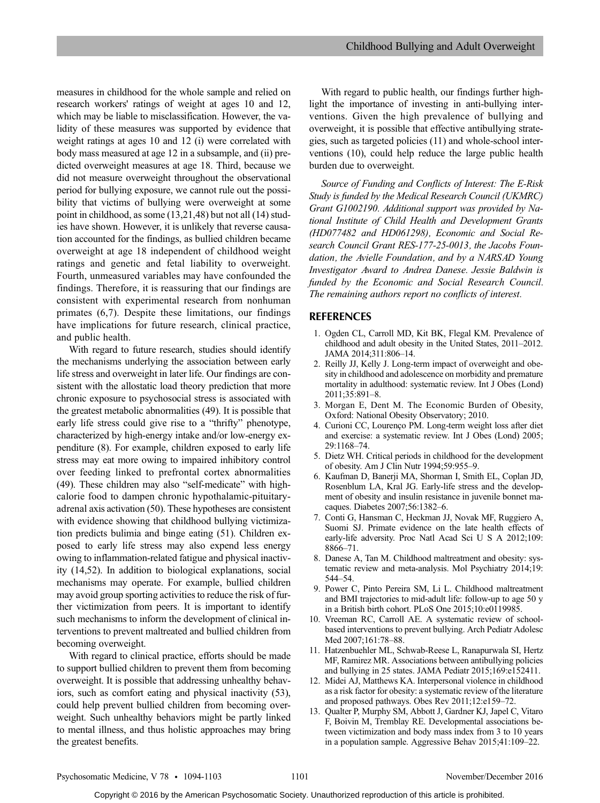measures in childhood for the whole sample and relied on research workers' ratings of weight at ages 10 and 12, which may be liable to misclassification. However, the validity of these measures was supported by evidence that weight ratings at ages 10 and 12 (i) were correlated with body mass measured at age 12 in a subsample, and (ii) predicted overweight measures at age 18. Third, because we did not measure overweight throughout the observational period for bullying exposure, we cannot rule out the possibility that victims of bullying were overweight at some point in childhood, as some (13,21,48) but not all (14) studies have shown. However, it is unlikely that reverse causation accounted for the findings, as bullied children became overweight at age 18 independent of childhood weight ratings and genetic and fetal liability to overweight. Fourth, unmeasured variables may have confounded the findings. Therefore, it is reassuring that our findings are consistent with experimental research from nonhuman primates (6,7). Despite these limitations, our findings have implications for future research, clinical practice, and public health.

With regard to future research, studies should identify the mechanisms underlying the association between early life stress and overweight in later life. Our findings are consistent with the allostatic load theory prediction that more chronic exposure to psychosocial stress is associated with the greatest metabolic abnormalities (49). It is possible that early life stress could give rise to a "thrifty" phenotype, characterized by high-energy intake and/or low-energy expenditure (8). For example, children exposed to early life stress may eat more owing to impaired inhibitory control over feeding linked to prefrontal cortex abnormalities (49). These children may also "self-medicate" with highcalorie food to dampen chronic hypothalamic-pituitaryadrenal axis activation (50). These hypotheses are consistent with evidence showing that childhood bullying victimization predicts bulimia and binge eating (51). Children exposed to early life stress may also expend less energy owing to inflammation-related fatigue and physical inactivity (14,52). In addition to biological explanations, social mechanisms may operate. For example, bullied children may avoid group sporting activities to reduce the risk of further victimization from peers. It is important to identify such mechanisms to inform the development of clinical interventions to prevent maltreated and bullied children from becoming overweight.

With regard to clinical practice, efforts should be made to support bullied children to prevent them from becoming overweight. It is possible that addressing unhealthy behaviors, such as comfort eating and physical inactivity (53), could help prevent bullied children from becoming overweight. Such unhealthy behaviors might be partly linked to mental illness, and thus holistic approaches may bring the greatest benefits.

With regard to public health, our findings further highlight the importance of investing in anti-bullying interventions. Given the high prevalence of bullying and overweight, it is possible that effective antibullying strategies, such as targeted policies (11) and whole-school interventions (10), could help reduce the large public health burden due to overweight.

Source of Funding and Conflicts of Interest: The E-Risk Study is funded by the Medical Research Council (UKMRC) Grant G1002190. Additional support was provided by National Institute of Child Health and Development Grants (HD077482 and HD061298), Economic and Social Research Council Grant RES-177-25-0013, the Jacobs Foundation, the Avielle Foundation, and by a NARSAD Young Investigator Award to Andrea Danese. Jessie Baldwin is funded by the Economic and Social Research Council. The remaining authors report no conflicts of interest.

## REFERENCES

- 1. Ogden CL, Carroll MD, Kit BK, Flegal KM. Prevalence of childhood and adult obesity in the United States, 2011–2012. JAMA 2014;311:806–14.
- 2. Reilly JJ, Kelly J. Long-term impact of overweight and obesity in childhood and adolescence on morbidity and premature mortality in adulthood: systematic review. Int J Obes (Lond) 2011;35:891–8.
- 3. Morgan E, Dent M. The Economic Burden of Obesity, Oxford: National Obesity Observatory; 2010.
- 4. Curioni CC, Lourenço PM. Long-term weight loss after diet and exercise: a systematic review. Int J Obes (Lond) 2005; 29:1168–74.
- 5. Dietz WH. Critical periods in childhood for the development of obesity. Am J Clin Nutr 1994;59:955–9.
- 6. Kaufman D, Banerji MA, Shorman I, Smith EL, Coplan JD, Rosenblum LA, Kral JG. Early-life stress and the development of obesity and insulin resistance in juvenile bonnet macaques. Diabetes 2007;56:1382–6.
- 7. Conti G, Hansman C, Heckman JJ, Novak MF, Ruggiero A, Suomi SJ. Primate evidence on the late health effects of early-life adversity. Proc Natl Acad Sci U S A 2012;109: 8866–71.
- 8. Danese A, Tan M. Childhood maltreatment and obesity: systematic review and meta-analysis. Mol Psychiatry 2014;19: 544–54.
- 9. Power C, Pinto Pereira SM, Li L. Childhood maltreatment and BMI trajectories to mid-adult life: follow-up to age 50 y in a British birth cohort. PLoS One 2015;10:e0119985.
- 10. Vreeman RC, Carroll AE. A systematic review of schoolbased interventions to prevent bullying. Arch Pediatr Adolesc Med 2007;161:78–88.
- 11. Hatzenbuehler ML, Schwab-Reese L, Ranapurwala SI, Hertz MF, Ramirez MR. Associations between antibullying policies and bullying in 25 states. JAMA Pediatr 2015;169:e152411.
- 12. Midei AJ, Matthews KA. Interpersonal violence in childhood as a risk factor for obesity: a systematic review of the literature and proposed pathways. Obes Rev 2011;12:e159–72.
- 13. Qualter P, Murphy SM, Abbott J, Gardner KJ, Japel C, Vitaro F, Boivin M, Tremblay RE. Developmental associations between victimization and body mass index from 3 to 10 years in a population sample. Aggressive Behav 2015;41:109–22.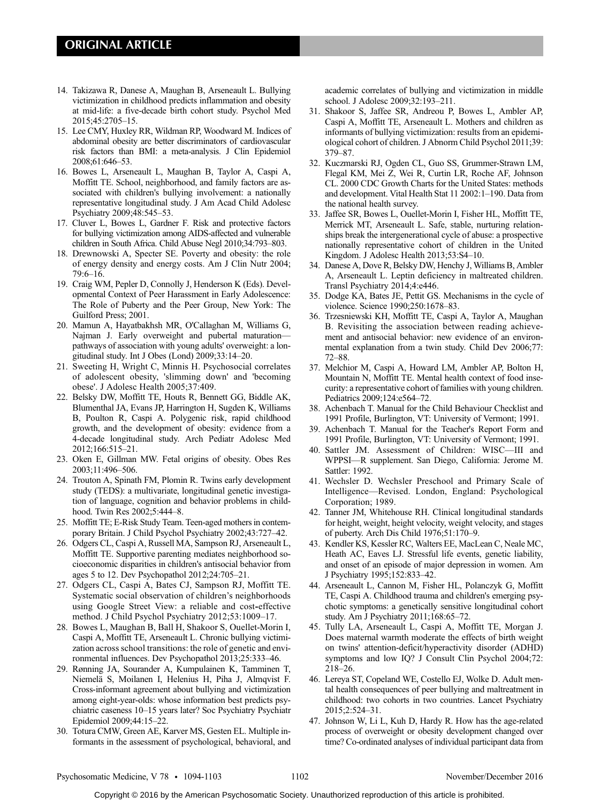# ORIGINAL ARTICLE

- 14. Takizawa R, Danese A, Maughan B, Arseneault L. Bullying victimization in childhood predicts inflammation and obesity at mid-life: a five-decade birth cohort study. Psychol Med 2015;45:2705–15.
- 15. Lee CMY, Huxley RR, Wildman RP, Woodward M. Indices of abdominal obesity are better discriminators of cardiovascular risk factors than BMI: a meta-analysis. J Clin Epidemiol 2008;61:646–53.
- 16. Bowes L, Arseneault L, Maughan B, Taylor A, Caspi A, Moffitt TE. School, neighborhood, and family factors are associated with children's bullying involvement: a nationally representative longitudinal study. J Am Acad Child Adolesc Psychiatry 2009;48:545–53.
- 17. Cluver L, Bowes L, Gardner F. Risk and protective factors for bullying victimization among AIDS-affected and vulnerable children in South Africa. Child Abuse Negl 2010;34:793–803.
- 18. Drewnowski A, Specter SE. Poverty and obesity: the role of energy density and energy costs. Am J Clin Nutr 2004; 79:6–16.
- 19. Craig WM, Pepler D, Connolly J, Henderson K (Eds). Developmental Context of Peer Harassment in Early Adolescence: The Role of Puberty and the Peer Group, New York: The Guilford Press; 2001.
- 20. Mamun A, Hayatbakhsh MR, O'Callaghan M, Williams G, Najman J. Early overweight and pubertal maturation pathways of association with young adults' overweight: a longitudinal study. Int J Obes (Lond) 2009;33:14–20.
- 21. Sweeting H, Wright C, Minnis H. Psychosocial correlates of adolescent obesity, 'slimming down' and 'becoming obese'. J Adolesc Health 2005;37:409.
- 22. Belsky DW, Moffitt TE, Houts R, Bennett GG, Biddle AK, Blumenthal JA, Evans JP, Harrington H, Sugden K, Williams B, Poulton R, Caspi A. Polygenic risk, rapid childhood growth, and the development of obesity: evidence from a 4-decade longitudinal study. Arch Pediatr Adolesc Med 2012;166:515–21.
- 23. Oken E, Gillman MW. Fetal origins of obesity. Obes Res 2003;11:496–506.
- 24. Trouton A, Spinath FM, Plomin R. Twins early development study (TEDS): a multivariate, longitudinal genetic investigation of language, cognition and behavior problems in childhood. Twin Res 2002;5:444–8.
- 25. Moffitt TE; E-Risk Study Team. Teen-aged mothers in contemporary Britain. J Child Psychol Psychiatry 2002;43:727–42.
- 26. Odgers CL, Caspi A, Russell MA, Sampson RJ, Arseneault L, Moffitt TE. Supportive parenting mediates neighborhood socioeconomic disparities in children's antisocial behavior from ages 5 to 12. Dev Psychopathol 2012;24:705–21.
- 27. Odgers CL, Caspi A, Bates CJ, Sampson RJ, Moffitt TE. Systematic social observation of children's neighborhoods using Google Street View: a reliable and cost-effective method. J Child Psychol Psychiatry 2012;53:1009–17.
- 28. Bowes L, Maughan B, Ball H, Shakoor S, Ouellet-Morin I, Caspi A, Moffitt TE, Arseneault L. Chronic bullying victimization across school transitions: the role of genetic and environmental influences. Dev Psychopathol 2013;25:333–46.
- 29. Rønning JA, Sourander A, Kumpulainen K, Tamminen T, Niemelä S, Moilanen I, Helenius H, Piha J, Almqvist F. Cross-informant agreement about bullying and victimization among eight-year-olds: whose information best predicts psychiatric caseness 10–15 years later? Soc Psychiatry Psychiatr Epidemiol 2009;44:15–22.
- 30. Totura CMW, Green AE, Karver MS, Gesten EL. Multiple informants in the assessment of psychological, behavioral, and

academic correlates of bullying and victimization in middle school. J Adolesc 2009;32:193–211.

- 31. Shakoor S, Jaffee SR, Andreou P, Bowes L, Ambler AP, Caspi A, Moffitt TE, Arseneault L. Mothers and children as informants of bullying victimization: results from an epidemiological cohort of children. J Abnorm Child Psychol 2011;39: 379–87.
- 32. Kuczmarski RJ, Ogden CL, Guo SS, Grummer-Strawn LM, Flegal KM, Mei Z, Wei R, Curtin LR, Roche AF, Johnson CL. 2000 CDC Growth Charts for the United States: methods and development. Vital Health Stat 11 2002:1–190. Data from the national health survey.
- 33. Jaffee SR, Bowes L, Ouellet-Morin I, Fisher HL, Moffitt TE, Merrick MT, Arseneault L. Safe, stable, nurturing relationships break the intergenerational cycle of abuse: a prospective nationally representative cohort of children in the United Kingdom. J Adolesc Health 2013;53:S4–10.
- 34. Danese A, Dove R, Belsky DW, Henchy J, Williams B, Ambler A, Arseneault L. Leptin deficiency in maltreated children. Transl Psychiatry 2014;4:e446.
- 35. Dodge KA, Bates JE, Pettit GS. Mechanisms in the cycle of violence. Science 1990;250:1678–83.
- 36. Trzesniewski KH, Moffitt TE, Caspi A, Taylor A, Maughan B. Revisiting the association between reading achievement and antisocial behavior: new evidence of an environmental explanation from a twin study. Child Dev 2006;77: 72–88.
- 37. Melchior M, Caspi A, Howard LM, Ambler AP, Bolton H, Mountain N, Moffitt TE. Mental health context of food insecurity: a representative cohort of families with young children. Pediatrics 2009;124:e564–72.
- 38. Achenbach T. Manual for the Child Behaviour Checklist and 1991 Profile, Burlington, VT: University of Vermont; 1991.
- 39. Achenbach T. Manual for the Teacher's Report Form and 1991 Profile, Burlington, VT: University of Vermont; 1991.
- 40. Sattler JM. Assessment of Children: WISC—III and WPPSI—R supplement. San Diego, California: Jerome M. Sattler: 1992.
- 41. Wechsler D. Wechsler Preschool and Primary Scale of Intelligence—Revised. London, England: Psychological Corporation; 1989.
- 42. Tanner JM, Whitehouse RH. Clinical longitudinal standards for height, weight, height velocity, weight velocity, and stages of puberty. Arch Dis Child 1976;51:170–9.
- 43. Kendler KS, Kessler RC, Walters EE, MacLean C, Neale MC, Heath AC, Eaves LJ. Stressful life events, genetic liability, and onset of an episode of major depression in women. Am J Psychiatry 1995;152:833–42.
- 44. Arseneault L, Cannon M, Fisher HL, Polanczyk G, Moffitt TE, Caspi A. Childhood trauma and children's emerging psychotic symptoms: a genetically sensitive longitudinal cohort study. Am J Psychiatry 2011;168:65–72.
- 45. Tully LA, Arseneault L, Caspi A, Moffitt TE, Morgan J. Does maternal warmth moderate the effects of birth weight on twins' attention-deficit/hyperactivity disorder (ADHD) symptoms and low IQ? J Consult Clin Psychol 2004;72: 218–26.
- 46. Lereya ST, Copeland WE, Costello EJ, Wolke D. Adult mental health consequences of peer bullying and maltreatment in childhood: two cohorts in two countries. Lancet Psychiatry 2015;2:524–31.
- 47. Johnson W, Li L, Kuh D, Hardy R. How has the age-related process of overweight or obesity development changed over time? Co-ordinated analyses of individual participant data from

Psychosomatic Medicine, V 78 • 1094-1103 1102 November/December 2016